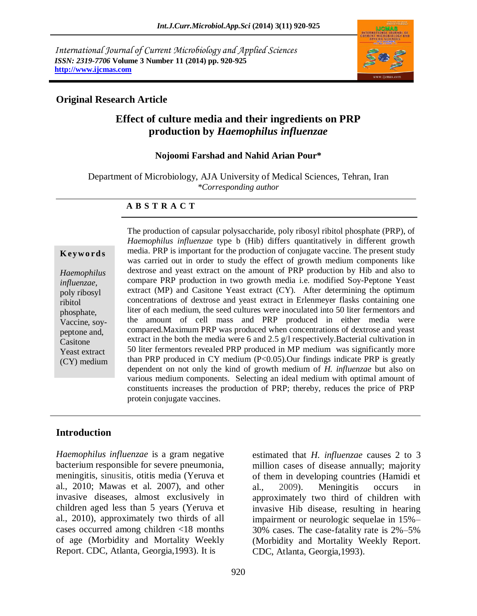*International Journal of Current Microbiology and Applied Sciences ISSN: 2319-7706* **Volume 3 Number 11 (2014) pp. 920-925 http://www.ijcmas.com**



### **Original Research Article**

# **Effect of culture media and their ingredients on PRP production by** *Haemophilus influenzae*

### **Nojoomi Farshad and Nahid Arian Pour\***

Department of Microbiology, AJA University of Medical Sciences, Tehran, Iran *\*Corresponding author* 

### **A B S T R A C T**

#### **K ey w o rd s**

*Haemophilus influenzae*, poly ribosyl ribitol phosphate, Vaccine, soypeptone and, Casitone Yeast extract (CY) medium The production of capsular polysaccharide, poly ribosyl ribitol phosphate (PRP), of *Haemophilus influenzae* type b (Hib) differs quantitatively in different growth media. PRP is important for the production of conjugate vaccine. The present study was carried out in order to study the effect of growth medium components like dextrose and yeast extract on the amount of PRP production by Hib and also to compare PRP production in two growth media i.e. modified Soy-Peptone Yeast extract (MP) and Casitone Yeast extract (CY). After determining the optimum concentrations of dextrose and yeast extract in Erlenmeyer flasks containing one liter of each medium, the seed cultures were inoculated into 50 liter fermentors and the amount of cell mass and PRP produced in either media were compared.Maximum PRP was produced when concentrations of dextrose and yeast extract in the both the media were 6 and 2.5 g/l respectively.Bacterial cultivation in 50 liter fermentors revealed PRP produced in MP medium was significantly more than PRP produced in CY medium (P<0.05).Our findings indicate PRP is greatly dependent on not only the kind of growth medium of *H. influenzae* but also on various medium components*.* Selecting an ideal medium with optimal amount of constituents increases the production of PRP; thereby, reduces the price of PRP protein conjugate vaccines.

### **Introduction**

*Haemophilus influenzae* is a gram negative bacterium responsible for severe pneumonia, meningitis, sinusitis, otitis media (Yeruva et al., 2010; Mawas et al. 2007), and other invasive diseases, almost exclusively in children aged less than 5 years (Yeruva et al., 2010), approximately two thirds of all cases occurred among children <18 months of age (Morbidity and Mortality Weekly Report. CDC, Atlanta, Georgia,1993). It is

estimated that *H. influenzae* causes 2 to 3 million cases of disease annually; majority of them in developing countries (Hamidi et al., 2009). Meningitis occurs in approximately two third of children with invasive Hib disease, resulting in hearing impairment or neurologic sequelae in 15%– 30% cases. The case-fatality rate is 2%–5% (Morbidity and Mortality Weekly Report. CDC, Atlanta, Georgia,1993).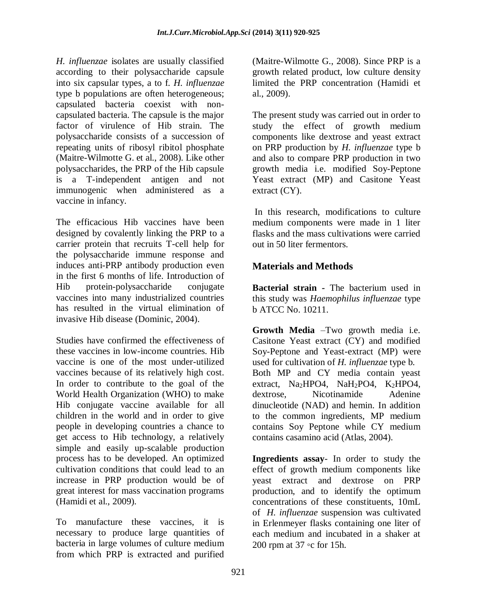*H. influenzae* isolates are usually classified according to their polysaccharide capsule into six capsular types, a to f. *H. influenzae*  type b populations are often heterogeneous; capsulated bacteria coexist with noncapsulated bacteria. The capsule is the major factor of virulence of Hib strain. The polysaccharide consists of a succession of repeating units of ribosyl ribitol phosphat[e](http://www.google.com/search?tbo=p&tbm=pts&hl=en&q=ininventor:%22Ghislaine+Maitre-Wilmotte%22) [\(Maitre-Wilmotte](http://www.google.com/search?tbo=p&tbm=pts&hl=en&q=ininventor:%22Ghislaine+Maitre-Wilmotte%22) G. et al., 2008). Like other polysaccharides, the PRP of the Hib capsule is a T-independent antigen and not immunogenic when administered as a vaccine in infancy.

The efficacious Hib vaccines have been designed by covalently linking the PRP to a carrier protein that recruits T-cell help for the polysaccharide immune response and induces anti-PRP antibody production even in the first 6 months of life. Introduction of Hib protein-polysaccharide conjugate vaccines into many industrialized countries has resulted in the virtual elimination of invasive Hib disease (Dominic, 2004).

Studies have confirmed the effectiveness of these vaccines in low-income countries. Hib vaccine is one of the most under-utilized vaccines because of its relatively high cost. In order to contribute to the goal of the World Health Organization (WHO) to make Hib conjugate vaccine available for all children in the world and in order to give people in developing countries a chance to get access to Hib technology, a relatively simple and easily up-scalable production process has to be developed. An optimized cultivation conditions that could lead to an increase in PRP production would be of great interest for mass vaccination programs (Hamidi et al., 2009).

To manufacture these vaccines, it is necessary to produce large quantities of bacteria in large volumes of culture medium from which PRP is extracted and purified

[\(Maitre-Wilmotte](http://www.google.com/search?tbo=p&tbm=pts&hl=en&q=ininventor:%22Ghislaine+Maitre-Wilmotte%22) G., 2008). Since PRP is a growth related product, low culture density limited the PRP concentration (Hamidi et al., 2009).

The present study was carried out in order to study the effect of growth medium components like dextrose and yeast extract on PRP production by *H. influenzae* type b and also to compare PRP production in two growth media i.e. modified Soy-Peptone Yeast extract (MP) and Casitone Yeast extract (CY).

In this research, modifications to culture medium components were made in 1 liter flasks and the mass cultivations were carried out in 50 liter fermentors.

# **Materials and Methods**

**Bacterial strain -** The bacterium used in this study was *Haemophilus influenzae* type b ATCC No. 10211.

**Growth Media** –Two growth media i.e. Casitone Yeast extract (CY) and modified Soy-Peptone and Yeast-extract (MP) were used for cultivation of *H. influenzae* type b. Both MP and CY media contain yeast extract, Na<sub>2</sub>HPO4, NaH<sub>2</sub>PO4, K<sub>2</sub>HPO4,<br>dextrose Nicotinamide Adenine dextrose. Nicotinamide dinucleotide (NAD) and hemin. In addition to the common ingredients, MP medium contains Soy Peptone while CY medium contains casamino acid (Atlas, 2004).

**Ingredients assay**- In order to study the effect of growth medium components like yeast extract and dextrose on PRP production, and to identify the optimum concentrations of these constituents, 10mL of *H. influenzae* suspension was cultivated in Erlenmeyer flasks containing one liter of each medium and incubated in a shaker at 200 rpm at 37 ◦c for 15h.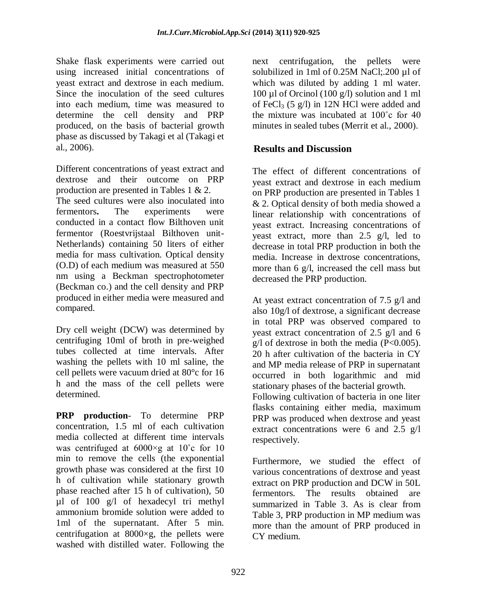Shake flask experiments were carried out using increased initial concentrations of yeast extract and dextrose in each medium. Since the inoculation of the seed cultures into each medium, time was measured to determine the cell density and PRP produced, on the basis of bacterial growth phase as discussed by Takagi et al (Takagi et al., 2006).

Different concentrations of yeast extract and dextrose and their outcome on PRP production are presented in Tables 1 & 2. The seed cultures were also inoculated into fermentors**.** The experiments were conducted in a contact flow Bilthoven unit fermentor (Roestvrijstaal Bilthoven unit-Netherlands) containing 50 liters of either media for mass cultivation. Optical density (O.D) of each medium was measured at 550 nm using a Beckman spectrophotometer (Beckman co.) and the cell density and PRP produced in either media were measured and compared.

Dry cell weight (DCW) was determined by centrifuging 10ml of broth in pre-weighed tubes collected at time intervals. After washing the pellets with 10 ml saline, the cell pellets were vacuum dried at 80°c for 16 h and the mass of the cell pellets were determined.

**PRP production**- To determine PRP concentration, 1.5 ml of each cultivation media collected at different time intervals was centrifuged at 6000×g at 10˚c for 10 min to remove the cells (the exponential growth phase was considered at the first 10 h of cultivation while stationary growth phase reached after 15 h of cultivation), 50 µl of 100 g/l of hexadecyl tri methyl ammonium bromide solution were added to 1ml of the supernatant. After 5 min. centrifugation at 8000×g, the pellets were washed with distilled water. Following the

next centrifugation, the pellets were solubilized in 1ml of 0.25M NaCl; 200 µl of which was diluted by adding 1 ml water. 100 µl of Orcinol (100 g/l) solution and 1 ml of FeCl<sub>3</sub> (5 g/l) in 12N HCl were added and the mixture was incubated at 100˚c for 40 minutes in sealed tubes (Merrit et al., 2000).

# **Results and Discussion**

The effect of different concentrations of yeast extract and dextrose in each medium on PRP production are presented in Tables 1 & 2. Optical density of both media showed a linear relationship with concentrations of yeast extract. Increasing concentrations of yeast extract, more than 2.5 g/l, led to decrease in total PRP production in both the media. Increase in dextrose concentrations, more than 6 g/l, increased the cell mass but decreased the PRP production.

At yeast extract concentration of 7.5 g/l and also 10g/l of dextrose, a significant decrease in total PRP was observed compared to yeast extract concentration of 2.5 g/l and 6  $g/l$  of dextrose in both the media (P<0.005). 20 h after cultivation of the bacteria in CY and MP media release of PRP in supernatant occurred in both logarithmic and mid stationary phases of the bacterial growth. Following cultivation of bacteria in one liter flasks containing either media, maximum PRP was produced when dextrose and yeast extract concentrations were 6 and 2.5 g/l respectively.

Furthermore, we studied the effect of various concentrations of dextrose and yeast extract on PRP production and DCW in 50L fermentors. The results obtained are summarized in Table 3. As is clear from Table 3, PRP production in MP medium was more than the amount of PRP produced in CY medium.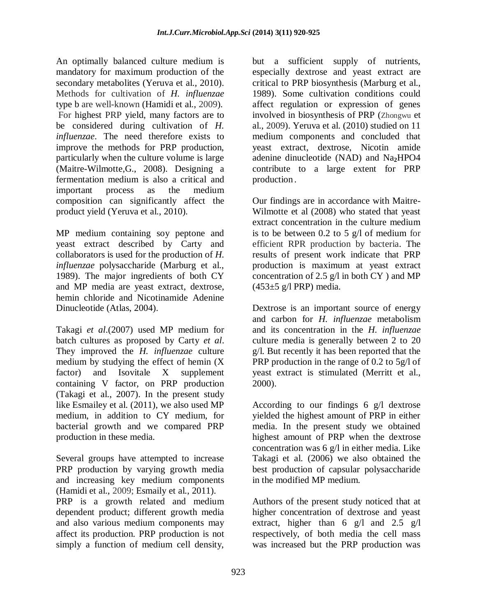An optimally balanced culture medium is mandatory for maximum production of the secondary metabolites (Yeruva et al., 2010). Methods for cultivation of *H. influenzae* type b are well-known (Hamidi et al., 2009). For highest PRP yield, many factors are to be considered during cultivation of *H. influenzae*. The need therefore exists to improve the methods for PRP production, particularly when the culture volume is large [\(Maitre-Wilmotte,](http://www.google.com/search?tbo=p&tbm=pts&hl=en&q=ininventor:%22Ghislaine+Maitre-Wilmotte%22)G., 2008). Designing a fermentation medium is also a critical and important process as the medium composition can significantly affect the product yield (Yeruva et al., 2010).

MP medium containing soy peptone and yeast extract described by Carty and collaborators is used for the production of *H. influenzae* polysaccharide (Marburg et al., 1989). The major ingredients of both CY and MP media are yeast extract, dextrose, hemin chloride and Nicotinamide Adenine Dinucleotide (Atlas, 2004).

Takagi *et al*.(2007) used MP medium for batch cultures as proposed by Carty *et al*. They improved the *H. influenzae* culture medium by studying the effect of hemin (X factor) and Isovitale X supplement containing V factor, on PRP production (Takagi et al., 2007). In the present study like Esmailey et al. (2011), we also used MP medium, in addition to CY medium, for bacterial growth and we compared PRP production in these media.

Several groups have attempted to increase PRP production by varying growth media and increasing key medium components (Hamidi et al., 2009; Esmaily et al., 2011). PRP is a growth related and medium dependent product; different growth media and also various medium components may affect its production. PRP production is not simply a function of medium cell density,

but a sufficient supply of nutrients, especially dextrose and yeast extract are critical to PRP biosynthesis (Marburg et al., 1989). Some cultivation conditions could affect regulation or expression of genes involved in biosynthesis of PRP (Zhongwu et al., 2009). Yeruva et al. (2010) studied on 11 medium components and concluded that yeast extract, dextrose, Nicotin amide adenine dinucleotide (NAD) and Na**2**HPO4 contribute to a large extent for PRP production .

Our findings are in accordance with Maitre-Wilmotte et al (2008) who stated that yeast extract concentration in the culture medium is to be between 0.2 to 5 g/l of medium for efficient RPR production by bacteria. The results of present work indicate that PRP production is maximum at yeast extract concentration of 2.5  $g/l$  in both CY ) and MP  $(453\pm 5 \text{ g/l PRP})$  media.

Dextrose is an important source of energy and carbon for *H. influenzae* metabolism and its concentration in the *H. influenzae* culture media is generally between 2 to 20 g/l. But recently it has been reported that the PRP production in the range of 0.2 to 5g/l of yeast extract is stimulated (Merritt et al., 2000).

According to our findings 6 g/l dextrose yielded the highest amount of PRP in either media. In the present study we obtained highest amount of PRP when the dextrose concentration was 6 g/l in either media. Like Takagi et al. (2006) we also obtained the best production of capsular polysaccharide in the modified MP medium.

Authors of the present study noticed that at higher concentration of dextrose and yeast extract, higher than  $6 \text{ g/l}$  and  $2.5 \text{ g/l}$ respectively, of both media the cell mass was increased but the PRP production was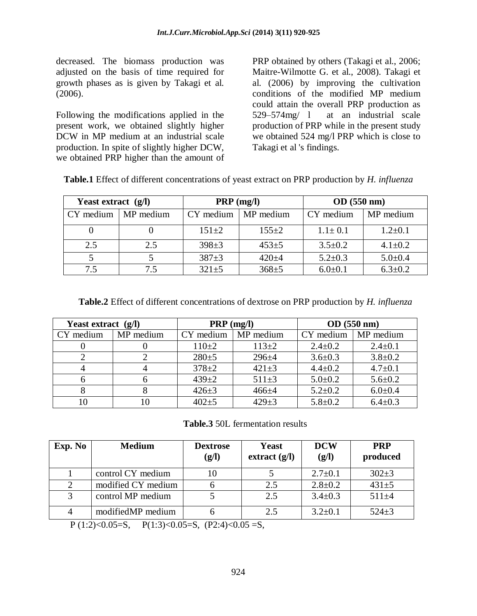decreased. The biomass production was adjusted on the basis of time required for growth phases as is given by Takagi et al. (2006).

Following the modifications applied in the present work, we obtained slightly higher DCW in MP medium at an industrial scale production. In spite of slightly higher DCW, we obtained PRP higher than the amount of

PRP obtained by others (Takagi et al., 2006; [Maitre-Wilmotte](http://www.google.com/search?tbo=p&tbm=pts&hl=en&q=ininventor:%22Ghislaine+Maitre-Wilmotte%22) G. et al., 2008). Takagi et al. (2006) by improving the cultivation conditions of the modified MP medium could attain the overall PRP production as 529–574mg/ l at an industrial scale production of PRP while in the present study we obtained 524 mg/l PRP which is close to Takagi et al 's findings.

|  | Table.1 Effect of different concentrations of yeast extract on PRP production by H. influenza |  |  |  |
|--|-----------------------------------------------------------------------------------------------|--|--|--|
|  |                                                                                               |  |  |  |

| Yeast extract $(g/l)$ |           | $PRP$ (mg/l) |             | OD(550 nm)    |               |  |
|-----------------------|-----------|--------------|-------------|---------------|---------------|--|
| CY medium             | MP medium | CY medium    | MP medium   | CY medium     | MP medium     |  |
|                       |           | $151 \pm 2$  | $155 \pm 2$ | $1.1 \pm 0.1$ | $1.2 \pm 0.1$ |  |
| 2.5                   | 2.5       | $398 + 3$    | $453+5$     | $3.5 \pm 0.2$ | $4.1 \pm 0.2$ |  |
|                       |           | $387 + 3$    | $420 + 4$   | $5.2 \pm 0.3$ | $5.0 \pm 0.4$ |  |
| 7.5                   | 7.5       | $321 \pm 5$  | $368 + 5$   | $6.0 \pm 0.1$ | $6.3 \pm 0.2$ |  |

**Table.2** Effect of different concentrations of dextrose on PRP production by *H. influenza*

| Yeast extract (g/l)    |  | $PRP$ (mg/l)       |             | OD(550 nm)    |               |  |
|------------------------|--|--------------------|-------------|---------------|---------------|--|
| CY medium<br>MP medium |  | CY medium          | MP medium   | CY medium     | MP medium     |  |
|                        |  | $110+2$<br>$113+2$ |             | $2.4 \pm 0.2$ | $2.4 \pm 0.1$ |  |
|                        |  | $280+5$            | $296 + 4$   | $3.6 \pm 0.3$ | $3.8 \pm 0.2$ |  |
|                        |  | $378 + 2$          | $421 \pm 3$ | $4.4 \pm 0.2$ | $4.7 \pm 0.1$ |  |
| 6                      |  | $439 + 2$          | $511 \pm 3$ | $5.0 \pm 0.2$ | $5.6 \pm 0.2$ |  |
|                        |  | $426 \pm 3$        | $466 + 4$   | $5.2 \pm 0.2$ | $6.0 \pm 0.4$ |  |
| 10                     |  | $402 + 5$          | $429 \pm 3$ | $5.8 \pm 0.2$ | $6.4 \pm 0.3$ |  |

**Table.3** 50L fermentation results

| Exp. No | <b>Medium</b>      | <b>Dextrose</b><br>(g/l) | Yeast<br>extract $(g/I)$ | <b>DCW</b><br>(g/l) | <b>PRP</b><br>produced |
|---------|--------------------|--------------------------|--------------------------|---------------------|------------------------|
|         | control CY medium  |                          |                          | $2.7 \pm 0.1$       | $302+3$                |
|         | modified CY medium |                          | 2.5                      | $2.8 \pm 0.2$       | $431 \pm 5$            |
|         | control MP medium  |                          | 2.5                      | $3.4 \pm 0.3$       | $511 + 4$              |
|         | modifiedMP medium  |                          | 2.5                      | $3.2 \pm 0.1$       | $524 \pm 3$            |

P (1:2)<0.05=S, P(1:3)<0.05=S, (P2:4)<0.05 =S,